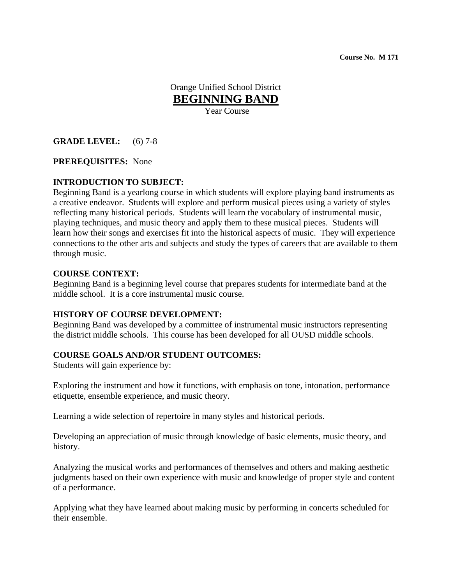**Course No. M 171** 

Orange Unified School District **BEGINNING BAND** Year Course

## **GRADE LEVEL:** (6) 7-8

#### **PREREQUISITES:** None

### **INTRODUCTION TO SUBJECT:**

Beginning Band is a yearlong course in which students will explore playing band instruments as a creative endeavor. Students will explore and perform musical pieces using a variety of styles reflecting many historical periods. Students will learn the vocabulary of instrumental music, playing techniques, and music theory and apply them to these musical pieces. Students will learn how their songs and exercises fit into the historical aspects of music. They will experience connections to the other arts and subjects and study the types of careers that are available to them through music.

#### **COURSE CONTEXT:**

Beginning Band is a beginning level course that prepares students for intermediate band at the middle school. It is a core instrumental music course.

### **HISTORY OF COURSE DEVELOPMENT:**

Beginning Band was developed by a committee of instrumental music instructors representing the district middle schools. This course has been developed for all OUSD middle schools.

#### **COURSE GOALS AND/OR STUDENT OUTCOMES:**

Students will gain experience by:

Exploring the instrument and how it functions, with emphasis on tone, intonation, performance etiquette, ensemble experience, and music theory.

Learning a wide selection of repertoire in many styles and historical periods.

Developing an appreciation of music through knowledge of basic elements, music theory, and history.

Analyzing the musical works and performances of themselves and others and making aesthetic judgments based on their own experience with music and knowledge of proper style and content of a performance.

Applying what they have learned about making music by performing in concerts scheduled for their ensemble.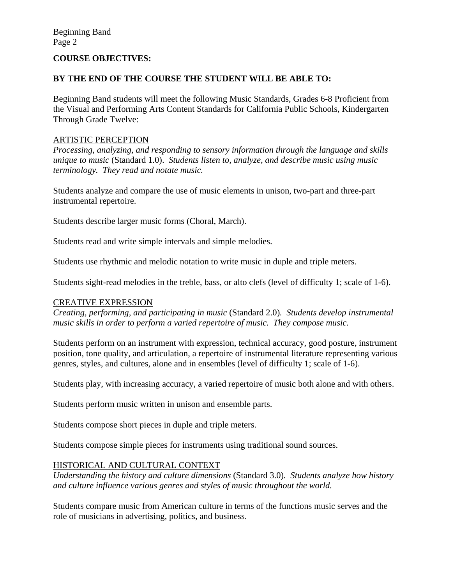### **COURSE OBJECTIVES:**

### **BY THE END OF THE COURSE THE STUDENT WILL BE ABLE TO:**

Beginning Band students will meet the following Music Standards, Grades 6-8 Proficient from the Visual and Performing Arts Content Standards for California Public Schools, Kindergarten Through Grade Twelve:

#### ARTISTIC PERCEPTION

*Processing, analyzing, and responding to sensory information through the language and skills unique to music* (Standard 1.0). *Students listen to, analyze, and describe music using music terminology. They read and notate music.* 

Students analyze and compare the use of music elements in unison, two-part and three-part instrumental repertoire.

Students describe larger music forms (Choral, March).

Students read and write simple intervals and simple melodies.

Students use rhythmic and melodic notation to write music in duple and triple meters.

Students sight-read melodies in the treble, bass, or alto clefs (level of difficulty 1; scale of 1-6).

#### CREATIVE EXPRESSION

*Creating, performing, and participating in music* (Standard 2.0)*. Students develop instrumental music skills in order to perform a varied repertoire of music. They compose music.*

Students perform on an instrument with expression, technical accuracy, good posture, instrument position, tone quality, and articulation, a repertoire of instrumental literature representing various genres, styles, and cultures, alone and in ensembles (level of difficulty 1; scale of 1-6).

Students play, with increasing accuracy, a varied repertoire of music both alone and with others.

Students perform music written in unison and ensemble parts.

Students compose short pieces in duple and triple meters.

Students compose simple pieces for instruments using traditional sound sources.

### HISTORICAL AND CULTURAL CONTEXT

*Understanding the history and culture dimensions* (Standard 3.0)*. Students analyze how history and culture influence various genres and styles of music throughout the world.* 

Students compare music from American culture in terms of the functions music serves and the role of musicians in advertising, politics, and business.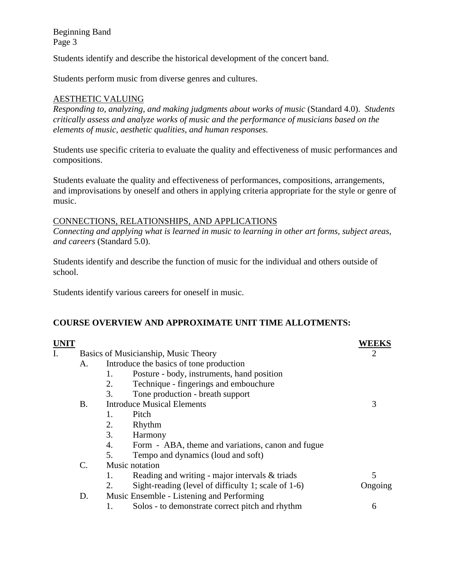Students identify and describe the historical development of the concert band.

Students perform music from diverse genres and cultures.

## AESTHETIC VALUING

*Responding to, analyzing, and making judgments about works of music* (Standard 4.0). *Students critically assess and analyze works of music and the performance of musicians based on the elements of music, aesthetic qualities, and human responses.*

Students use specific criteria to evaluate the quality and effectiveness of music performances and compositions.

Students evaluate the quality and effectiveness of performances, compositions, arrangements, and improvisations by oneself and others in applying criteria appropriate for the style or genre of music.

### CONNECTIONS, RELATIONSHIPS, AND APPLICATIONS

*Connecting and applying what is learned in music to learning in other art forms, subject areas, and careers* (Standard 5.0).

Students identify and describe the function of music for the individual and others outside of school.

Students identify various careers for oneself in music.

## **COURSE OVERVIEW AND APPROXIMATE UNIT TIME ALLOTMENTS:**

| <b>UNIT</b> |                                                 |                                         |                                                        | <b>WEEKS</b> |
|-------------|-------------------------------------------------|-----------------------------------------|--------------------------------------------------------|--------------|
| I.          |                                                 |                                         | Basics of Musicianship, Music Theory                   |              |
|             | A.                                              | Introduce the basics of tone production |                                                        |              |
|             |                                                 | 1.                                      | Posture - body, instruments, hand position             |              |
|             |                                                 | 2.                                      | Technique - fingerings and embouchure                  |              |
|             |                                                 | 3.                                      | Tone production - breath support                       |              |
|             | Β.                                              |                                         | <b>Introduce Musical Elements</b>                      | 3            |
|             |                                                 | 1.                                      | Pitch                                                  |              |
|             |                                                 | 2.                                      | Rhythm                                                 |              |
|             |                                                 | 3.                                      | Harmony                                                |              |
|             |                                                 | 4.                                      | Form - ABA, theme and variations, canon and fugue      |              |
|             |                                                 | 5.                                      | Tempo and dynamics (loud and soft)                     |              |
|             | C.                                              |                                         | Music notation                                         |              |
|             |                                                 | 1.                                      | Reading and writing - major intervals $\&$ triads      | 5            |
|             |                                                 | 2.                                      | Sight-reading (level of difficulty 1; scale of $1-6$ ) | Ongoing      |
|             | Music Ensemble - Listening and Performing<br>D. |                                         |                                                        |              |
|             |                                                 |                                         | Solos - to demonstrate correct pitch and rhythm        | 6            |
|             |                                                 |                                         |                                                        |              |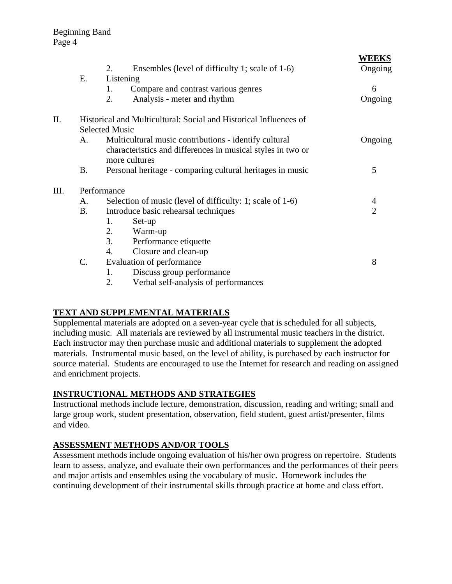| <u>WEEKS</u>   |  |  |  |
|----------------|--|--|--|
| Ongoing        |  |  |  |
|                |  |  |  |
| 6              |  |  |  |
| Ongoing        |  |  |  |
|                |  |  |  |
|                |  |  |  |
| Ongoing        |  |  |  |
|                |  |  |  |
|                |  |  |  |
| 5              |  |  |  |
| Performance    |  |  |  |
| 4              |  |  |  |
| $\overline{2}$ |  |  |  |
|                |  |  |  |
|                |  |  |  |
|                |  |  |  |
|                |  |  |  |
| 8              |  |  |  |
|                |  |  |  |
|                |  |  |  |
|                |  |  |  |

**WEEKS**

## **TEXT AND SUPPLEMENTAL MATERIALS**

Supplemental materials are adopted on a seven-year cycle that is scheduled for all subjects, including music. All materials are reviewed by all instrumental music teachers in the district. Each instructor may then purchase music and additional materials to supplement the adopted materials. Instrumental music based, on the level of ability, is purchased by each instructor for source material. Students are encouraged to use the Internet for research and reading on assigned and enrichment projects.

## **INSTRUCTIONAL METHODS AND STRATEGIES**

Instructional methods include lecture, demonstration, discussion, reading and writing; small and large group work, student presentation, observation, field student, guest artist/presenter, films and video.

## **ASSESSMENT METHODS AND/OR TOOLS**

Assessment methods include ongoing evaluation of his/her own progress on repertoire. Students learn to assess, analyze, and evaluate their own performances and the performances of their peers and major artists and ensembles using the vocabulary of music. Homework includes the continuing development of their instrumental skills through practice at home and class effort.